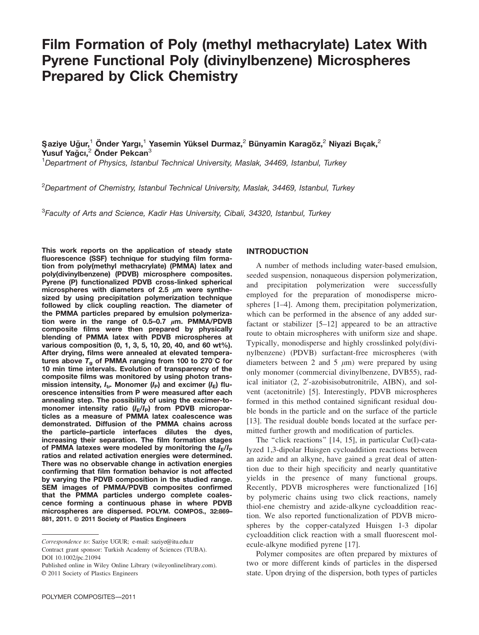# Film Formation of Poly (methyl methacrylate) Latex With Pyrene Functional Poly (divinylbenzene) Microspheres Prepared by Click Chemistry

Şaziye Uğur,<sup>1</sup> Önder Yargı,<sup>1</sup> Yasemin Yüksel Durmaz,<sup>2</sup> Bünyamin Karagöz,<sup>2</sup> Niyazi Bıçak,<sup>2</sup> Yusuf Yağcı, $^2$  Önder Pekcan $^3$ 

<sup>1</sup>Department of Physics, Istanbul Technical University, Maslak, 34469, Istanbul, Turkey

<sup>2</sup>Department of Chemistry, Istanbul Technical University, Maslak, 34469, Istanbul, Turkev

<sup>3</sup>Faculty of Arts and Science, Kadir Has University, Cibali, 34320, Istanbul, Turkey

This work reports on the application of steady state fluorescence (SSF) technique for studying film formation from poly(methyl methacrylate) (PMMA) latex and poly(divinylbenzene) (PDVB) microsphere composites. Pyrene (P) functionalized PDVB cross-linked spherical microspheres with diameters of 2.5  $\mu$ m were synthesized by using precipitation polymerization technique followed by click coupling reaction. The diameter of the PMMA particles prepared by emulsion polymerization were in the range of 0.5–0.7  $\mu$ m. PMMA/PDVB composite films were then prepared by physically blending of PMMA latex with PDVB microspheres at various composition (0, 1, 3, 5, 10, 20, 40, and 60 wt%). After drying, films were annealed at elevated temperatures above  $T_g$  of PMMA ranging from 100 to 270°C for 10 min time intervals. Evolution of transparency of the composite films was monitored by using photon transmission intensity,  $I_{tr}$  Monomer ( $I_P$ ) and excimer ( $I_E$ ) fluorescence intensities from P were measured after each annealing step. The possibility of using the excimer-tomonomer intensity ratio  $(I_F/I_P)$  from PDVB microparticles as a measure of PMMA latex coalescence was demonstrated. Diffusion of the PMMA chains across the particle–particle interfaces dilutes the dyes, increasing their separation. The film formation stages of PMMA latexes were modeled by monitoring the  $I_{E}/I_{P}$ ratios and related activation energies were determined. There was no observable change in activation energies confirming that film formation behavior is not affected by varying the PDVB composition in the studied range. SEM images of PMMA/PDVB composites confirmed that the PMMA particles undergo complete coalescence forming a continuous phase in where PDVB microspheres are dispersed. POLYM. COMPOS., 32:869– 881, 2011. @ 2011 Society of Plastics Engineers

# INTRODUCTION

A number of methods including water-based emulsion, seeded suspension, nonaqueous dispersion polymerization, and precipitation polymerization were successfully employed for the preparation of monodisperse microspheres [1–4]. Among them, precipitation polymerization, which can be performed in the absence of any added surfactant or stabilizer [5–12] appeared to be an attractive route to obtain microspheres with uniform size and shape. Typically, monodisperse and highly crosslinked poly(divinylbenzene) (PDVB) surfactant-free microspheres (with diameters between 2 and 5  $\mu$ m) were prepared by using only monomer (commercial divinylbenzene, DVB55), radical initiator (2, 2'-azobisisobutronitrile, AIBN), and solvent (acetonitrile) [5]. Interestingly, PDVB microspheres formed in this method contained significant residual double bonds in the particle and on the surface of the particle [13]. The residual double bonds located at the surface permitted further growth and modification of particles.

The "click reactions" [14, 15], in particular Cu(I)-catalyzed 1,3-dipolar Huisgen cycloaddition reactions between an azide and an alkyne, have gained a great deal of attention due to their high specificity and nearly quantitative yields in the presence of many functional groups. Recently, PDVB microspheres were functionalized [16] by polymeric chains using two click reactions, namely thiol-ene chemistry and azide-alkyne cycloaddition reaction. We also reported functionalization of PDVB microspheres by the copper-catalyzed Huisgen 1-3 dipolar cycloaddition click reaction with a small fluorescent molecule-alkyne modified pyrene [17].

Polymer composites are often prepared by mixtures of two or more different kinds of particles in the dispersed state. Upon drying of the dispersion, both types of particles

Correspondence to: Saziye UGUR; e-mail: saziye@itu.edu.tr Contract grant sponsor: Turkish Academy of Sciences (TUBA). DOI 10.1002/pc.21094

Published online in Wiley Online Library (wileyonlinelibrary.com).  $© 2011 Society of Plastics Engineers$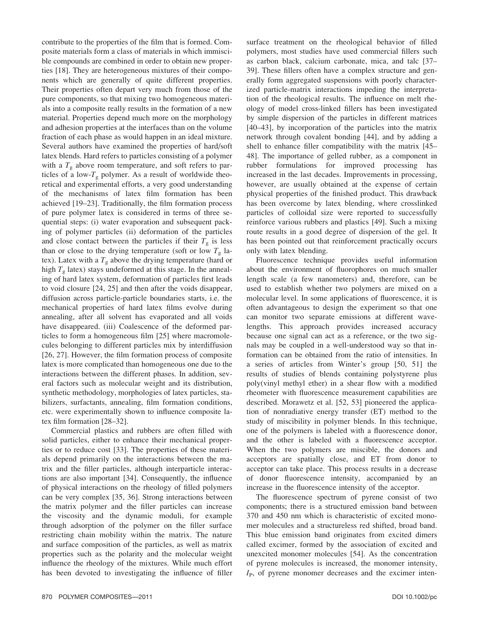contribute to the properties of the film that is formed. Composite materials form a class of materials in which immiscible compounds are combined in order to obtain new properties [18]. They are heterogeneous mixtures of their components which are generally of quite different properties. Their properties often depart very much from those of the pure components, so that mixing two homogeneous materials into a composite really results in the formation of a new material. Properties depend much more on the morphology and adhesion properties at the interfaces than on the volume fraction of each phase as would happen in an ideal mixture. Several authors have examined the properties of hard/soft latex blends. Hard refers to particles consisting of a polymer with a  $T_g$  above room temperature, and soft refers to particles of a low- $T_{\rm g}$  polymer. As a result of worldwide theoretical and experimental efforts, a very good understanding of the mechanisms of latex film formation has been achieved [19–23]. Traditionally, the film formation process of pure polymer latex is considered in terms of three sequential steps: (i) water evaporation and subsequent packing of polymer particles (ii) deformation of the particles and close contact between the particles if their  $T_g$  is less than or close to the drying temperature (soft or low  $T_g$  latex). Latex with a  $T<sub>g</sub>$  above the drying temperature (hard or high  $T_g$  latex) stays undeformed at this stage. In the annealing of hard latex system, deformation of particles first leads to void closure [24, 25] and then after the voids disappear, diffusion across particle-particle boundaries starts, i.e. the mechanical properties of hard latex films evolve during annealing, after all solvent has evaporated and all voids have disappeared. (iii) Coalescence of the deformed particles to form a homogeneous film [25] where macromolecules belonging to different particles mix by interdiffusion [26, 27]. However, the film formation process of composite latex is more complicated than homogeneous one due to the interactions between the different phases. In addition, several factors such as molecular weight and its distribution, synthetic methodology, morphologies of latex particles, stabilizers, surfactants, annealing, film formation conditions, etc. were experimentally shown to influence composite latex film formation [28–32].

Commercial plastics and rubbers are often filled with solid particles, either to enhance their mechanical properties or to reduce cost [33]. The properties of these materials depend primarily on the interactions between the matrix and the filler particles, although interparticle interactions are also important [34]. Consequently, the influence of physical interactions on the rheology of filled polymers can be very complex [35, 36]. Strong interactions between the matrix polymer and the filler particles can increase the viscosity and the dynamic moduli, for example through adsorption of the polymer on the filler surface restricting chain mobility within the matrix. The nature and surface composition of the particles, as well as matrix properties such as the polarity and the molecular weight influence the rheology of the mixtures. While much effort has been devoted to investigating the influence of filler surface treatment on the rheological behavior of filled polymers, most studies have used commercial fillers such as carbon black, calcium carbonate, mica, and talc [37– 39]. These fillers often have a complex structure and generally form aggregated suspensions with poorly characterized particle-matrix interactions impeding the interpretation of the rheological results. The influence on melt rheology of model cross-linked fillers has been investigated by simple dispersion of the particles in different matrices [40–43], by incorporation of the particles into the matrix network through covalent bonding [44], and by adding a shell to enhance filler compatibility with the matrix [45– 48]. The importance of gelled rubber, as a component in rubber formulations for improved processing has increased in the last decades. Improvements in processing, however, are usually obtained at the expense of certain physical properties of the finished product. This drawback has been overcome by latex blending, where crosslinked particles of colloidal size were reported to successfully reinforce various rubbers and plastics [49]. Such a mixing route results in a good degree of dispersion of the gel. It has been pointed out that reinforcement practically occurs only with latex blending.

Fluorescence technique provides useful information about the environment of fluorophores on much smaller length scale (a few nanometers) and, therefore, can be used to establish whether two polymers are mixed on a molecular level. In some applications of fluorescence, it is often advantageous to design the experiment so that one can monitor two separate emissions at different wavelengths. This approach provides increased accuracy because one signal can act as a reference, or the two signals may be coupled in a well-understood way so that information can be obtained from the ratio of intensities. In a series of articles from Winter's group [50, 51] the results of studies of blends containing polystyrene plus poly(vinyl methyl ether) in a shear flow with a modified rheometer with fluorescence measurement capabilities are described. Morawetz et al. [52, 53] pioneered the application of nonradiative energy transfer (ET) method to the study of miscibility in polymer blends. In this technique, one of the polymers is labeled with a fluorescence donor, and the other is labeled with a fluorescence acceptor. When the two polymers are miscible, the donors and acceptors are spatially close, and ET from donor to acceptor can take place. This process results in a decrease of donor fluorescence intensity, accompanied by an increase in the fluorescence intensity of the acceptor.

The fluorescence spectrum of pyrene consist of two components; there is a structured emission band between 370 and 450 nm which is characteristic of excited monomer molecules and a structureless red shifted, broad band. This blue emission band originates from excited dimers called excimer, formed by the association of excited and unexcited monomer molecules [54]. As the concentration of pyrene molecules is increased, the monomer intensity,  $I_{P}$ , of pyrene monomer decreases and the excimer inten-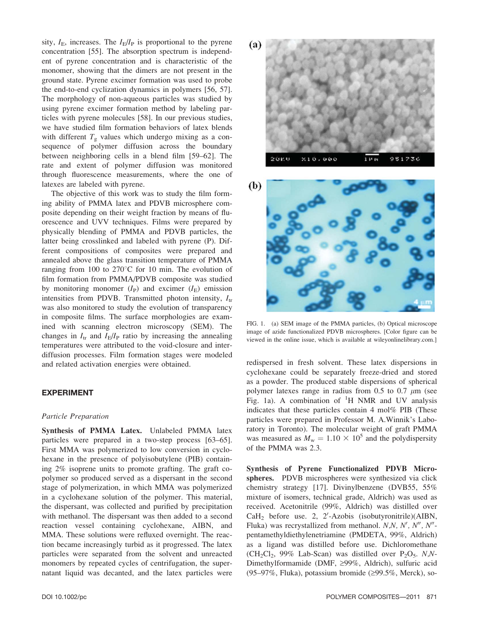sity,  $I_{\rm E}$ , increases. The  $I_{\rm E}/I_{\rm P}$  is proportional to the pyrene concentration [55]. The absorption spectrum is independent of pyrene concentration and is characteristic of the monomer, showing that the dimers are not present in the ground state. Pyrene excimer formation was used to probe the end-to-end cyclization dynamics in polymers [56, 57]. The morphology of non-aqueous particles was studied by using pyrene excimer formation method by labeling particles with pyrene molecules [58]. In our previous studies, we have studied film formation behaviors of latex blends with different  $T_g$  values which undergo mixing as a consequence of polymer diffusion across the boundary between neighboring cells in a blend film [59–62]. The rate and extent of polymer diffusion was monitored through fluorescence measurements, where the one of latexes are labeled with pyrene.

The objective of this work was to study the film forming ability of PMMA latex and PDVB microsphere composite depending on their weight fraction by means of fluorescence and UVV techniques. Films were prepared by physically blending of PMMA and PDVB particles, the latter being crosslinked and labeled with pyrene (P). Different compositions of composites were prepared and annealed above the glass transition temperature of PMMA ranging from 100 to  $270^{\circ}$ C for 10 min. The evolution of film formation from PMMA/PDVB composite was studied by monitoring monomer  $(I_P)$  and excimer  $(I_E)$  emission intensities from PDVB. Transmitted photon intensity,  $I_{tr}$ was also monitored to study the evolution of transparency in composite films. The surface morphologies are examined with scanning electron microscopy (SEM). The changes in  $I_{tr}$  and  $I_{E}/I_{P}$  ratio by increasing the annealing temperatures were attributed to the void-closure and interdiffusion processes. Film formation stages were modeled and related activation energies were obtained.

# EXPERIMENT

#### Particle Preparation

Synthesis of PMMA Latex. Unlabeled PMMA latex particles were prepared in a two-step process [63–65]. First MMA was polymerized to low conversion in cyclohexane in the presence of polyisobutylene (PIB) containing 2% isoprene units to promote grafting. The graft copolymer so produced served as a dispersant in the second stage of polymerization, in which MMA was polymerized in a cyclohexane solution of the polymer. This material, the dispersant, was collected and purified by precipitation with methanol. The dispersant was then added to a second reaction vessel containing cyclohexane, AIBN, and MMA. These solutions were refluxed overnight. The reaction became increasingly turbid as it progressed. The latex particles were separated from the solvent and unreacted monomers by repeated cycles of centrifugation, the supernatant liquid was decanted, and the latex particles were





FIG. 1. (a) SEM image of the PMMA particles, (b) Optical microscope image of azide functionalized PDVB microspheres. [Color figure can be viewed in the online issue, which is available at wileyonlinelibrary.com.]

redispersed in fresh solvent. These latex dispersions in cyclohexane could be separately freeze-dried and stored as a powder. The produced stable dispersions of spherical polymer latexes range in radius from 0.5 to 0.7  $\mu$ m (see Fig. 1a). A combination of  ${}^{1}H$  NMR and UV analysis indicates that these particles contain 4 mol% PIB (These particles were prepared in Professor M. A.Winnik's Laboratory in Toronto). The molecular weight of graft PMMA was measured as  $M_w = 1.10 \times 10^5$  and the polydispersity of the PMMA was 2.3.

Synthesis of Pyrene Functionalized PDVB Microspheres. PDVB microspheres were synthesized via click chemistry strategy [17]. Divinylbenzene (DVB55, 55% mixture of isomers, technical grade, Aldrich) was used as received. Acetonitrile (99%, Aldrich) was distilled over  $CaH<sub>2</sub>$  before use. 2, 2'-Azobis (isobutyronitrile)(AIBN, Fluka) was recrystallized from methanol.  $N, N, N', N'', N''$ pentamethyldiethylenetriamine (PMDETA, 99%, Aldrich) as a ligand was distilled before use. Dichloromethane  $(CH_2Cl_2, 99\%$  Lab-Scan) was distilled over  $P_2O_5$ . N,N-Dimethylformamide (DMF, ≥99%, Aldrich), sulfuric acid (95–97%, Fluka), potassium bromide ( $\geq$ 99.5%, Merck), so-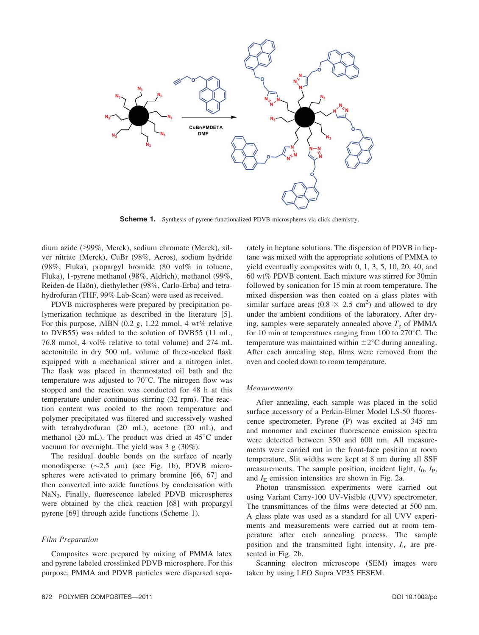

Scheme 1. Synthesis of pyrene functionalized PDVB microspheres via click chemistry.

dium azide  $(299\%$ , Merck), sodium chromate (Merck), silver nitrate (Merck), CuBr (98%, Acros), sodium hydride (98%, Fluka), propargyl bromide (80 vol% in toluene, Fluka), 1-pyrene methanol (98%, Aldrich), methanol (99%, Reiden-de Haön), diethylether (98%, Carlo-Erba) and tetrahydrofuran (THF, 99% Lab-Scan) were used as received.

PDVB microspheres were prepared by precipitation polymerization technique as described in the literature [5]. For this purpose, AIBN  $(0.2 \text{ g}, 1.22 \text{ mmol}, 4 \text{ wt\%}$  relative to DVB55) was added to the solution of DVB55 (11 mL, 76.8 mmol, 4 vol% relative to total volume) and 274 mL acetonitrile in dry 500 mL volume of three-necked flask equipped with a mechanical stirrer and a nitrogen inlet. The flask was placed in thermostated oil bath and the temperature was adjusted to  $70^{\circ}$ C. The nitrogen flow was stopped and the reaction was conducted for 48 h at this temperature under continuous stirring (32 rpm). The reaction content was cooled to the room temperature and polymer precipitated was filtered and successively washed with tetrahydrofuran (20 mL), acetone (20 mL), and methanol (20 mL). The product was dried at  $45^{\circ}$ C under vacuum for overnight. The yield was 3 g (30%).

The residual double bonds on the surface of nearly monodisperse ( $\sim$ 2.5  $\mu$ m) (see Fig. 1b), PDVB microspheres were activated to primary bromine [66, 67] and then converted into azide functions by condensation with NaN3. Finally, fluorescence labeled PDVB microspheres were obtained by the click reaction [68] with propargyl pyrene [69] through azide functions (Scheme 1).

#### Film Preparation

Composites were prepared by mixing of PMMA latex and pyrene labeled crosslinked PDVB microsphere. For this purpose, PMMA and PDVB particles were dispersed separately in heptane solutions. The dispersion of PDVB in heptane was mixed with the appropriate solutions of PMMA to yield eventually composites with 0, 1, 3, 5, 10, 20, 40, and 60 wt% PDVB content. Each mixture was stirred for 30min followed by sonication for 15 min at room temperature. The mixed dispersion was then coated on a glass plates with similar surface areas  $(0.8 \times 2.5 \text{ cm}^2)$  and allowed to dry under the ambient conditions of the laboratory. After drying, samples were separately annealed above  $T<sub>g</sub>$  of PMMA for 10 min at temperatures ranging from 100 to  $270^{\circ}$ C. The temperature was maintained within  $\pm 2^{\circ}$ C during annealing. After each annealing step, films were removed from the oven and cooled down to room temperature.

#### Measurements

After annealing, each sample was placed in the solid surface accessory of a Perkin-Elmer Model LS-50 fluorescence spectrometer. Pyrene (P) was excited at 345 nm and monomer and excimer fluorescence emission spectra were detected between 350 and 600 nm. All measurements were carried out in the front-face position at room temperature. Slit widths were kept at 8 nm during all SSF measurements. The sample position, incident light,  $I_0$ ,  $I_P$ , and  $I<sub>E</sub>$  emission intensities are shown in Fig. 2a.

Photon transmission experiments were carried out using Variant Carry-100 UV-Visible (UVV) spectrometer. The transmittances of the films were detected at 500 nm. A glass plate was used as a standard for all UVV experiments and measurements were carried out at room temperature after each annealing process. The sample position and the transmitted light intensity,  $I_{tr}$  are presented in Fig. 2b.

Scanning electron microscope (SEM) images were taken by using LEO Supra VP35 FESEM.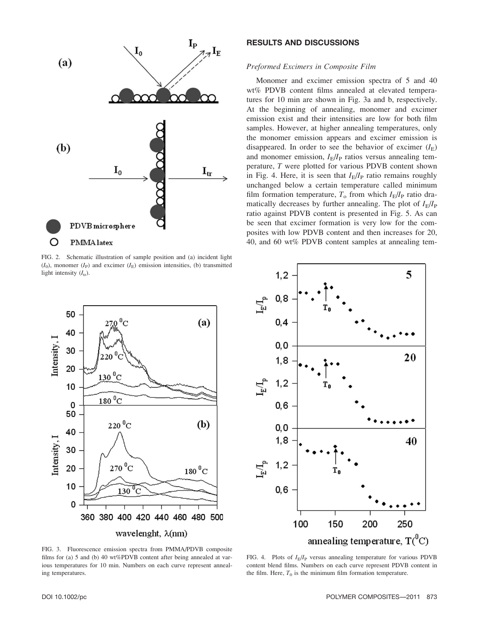

FIG. 2. Schematic illustration of sample position and (a) incident light  $(I_0)$ , monomer  $(I_P)$  and excimer  $(I_P)$  emission intensities, (b) transmitted light intensity  $(I_{tr})$ .

# RESULTS AND DISCUSSIONS

#### Preformed Excimers in Composite Film

Monomer and excimer emission spectra of 5 and 40 wt% PDVB content films annealed at elevated temperatures for 10 min are shown in Fig. 3a and b, respectively. At the beginning of annealing, monomer and excimer emission exist and their intensities are low for both film samples. However, at higher annealing temperatures, only the monomer emission appears and excimer emission is disappeared. In order to see the behavior of excimer  $(I<sub>E</sub>)$ and monomer emission,  $I_{\rm E}/I_{\rm P}$  ratios versus annealing temperature, T were plotted for various PDVB content shown in Fig. 4. Here, it is seen that  $I_{\rm E}/I_{\rm P}$  ratio remains roughly unchanged below a certain temperature called minimum film formation temperature,  $T_o$  from which  $I_{\rm E}/I_{\rm P}$  ratio dramatically decreases by further annealing. The plot of  $I_{\rm E}/I_{\rm P}$ ratio against PDVB content is presented in Fig. 5. As can be seen that excimer formation is very low for the composites with low PDVB content and then increases for 20, 40, and 60 wt% PDVB content samples at annealing tem-





FIG. 3. Fluorescence emission spectra from PMMA/PDVB composite films for (a) 5 and (b) 40 wt%PDVB content after being annealed at various temperatures for 10 min. Numbers on each curve represent annealing temperatures.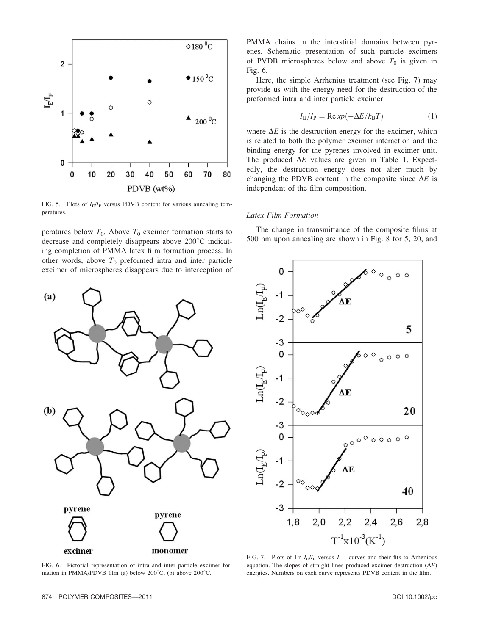

FIG. 5. Plots of  $I_{\rm E}/I_{\rm P}$  versus PDVB content for various annealing temperatures.

peratures below  $T_0$ . Above  $T_0$  excimer formation starts to decrease and completely disappears above  $200^{\circ}$ C indicating completion of PMMA latex film formation process. In other words, above  $T_0$  preformed intra and inter particle excimer of microspheres disappears due to interception of



FIG. 6. Pictorial representation of intra and inter particle excimer formation in PMMA/PDVB film (a) below  $200^{\circ}$ C, (b) above  $200^{\circ}$ C.

PMMA chains in the interstitial domains between pyrenes. Schematic presentation of such particle excimers of PVDB microspheres below and above  $T_0$  is given in Fig. 6.

Here, the simple Arrhenius treatment (see Fig. 7) may provide us with the energy need for the destruction of the preformed intra and inter particle excimer

$$
I_{\rm E}/I_{\rm P} = \text{Re}\,xp(-\Delta E/k_{\rm B}T) \tag{1}
$$

where  $\Delta E$  is the destruction energy for the excimer, which is related to both the polymer excimer interaction and the binding energy for the pyrenes involved in excimer unit. The produced  $\Delta E$  values are given in Table 1. Expectedly, the destruction energy does not alter much by changing the PDVB content in the composite since  $\Delta E$  is independent of the film composition.

#### Latex Film Formation

The change in transmittance of the composite films at 500 nm upon annealing are shown in Fig. 8 for 5, 20, and



FIG. 7. Plots of Ln  $I_{\rm E}/I_{\rm P}$  versus  $T^{-1}$  curves and their fits to Arhenious equation. The slopes of straight lines produced excimer destruction  $(\Delta E)$ energies. Numbers on each curve represents PDVB content in the film.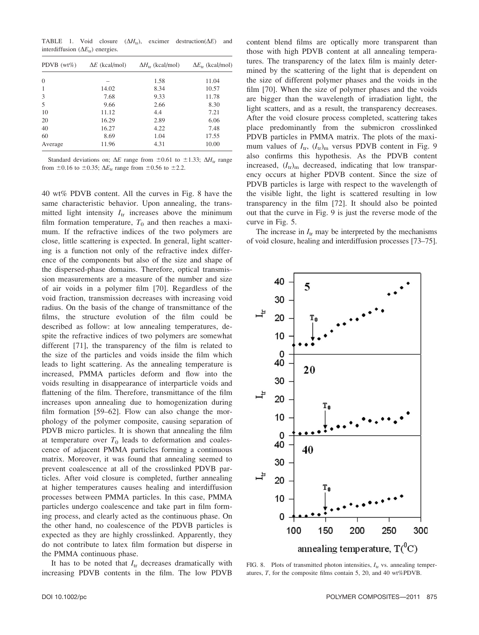TABLE 1. Void closure  $(\Delta H_{tr})$ , excimer destruction( $\Delta E$ ) and interdiffusion ( $\Delta E_{tr}$ ) energies.

| PDVB $(wt\%)$  | $\Delta E$ (kcal/mol) | $\Delta H_{\rm tr}$ (kcal/mol) | $\Delta E_{\text{tr}}$ (kcal/mol) |
|----------------|-----------------------|--------------------------------|-----------------------------------|
| $\overline{0}$ |                       | 1.58                           | 11.04                             |
| $\mathbf{1}$   | 14.02                 | 8.34                           | 10.57                             |
| 3              | 7.68                  | 9.33                           | 11.78                             |
| 5              | 9.66                  | 2.66                           | 8.30                              |
| 10             | 11.12                 | 4.4                            | 7.21                              |
| 20             | 16.29                 | 2.89                           | 6.06                              |
| 40             | 16.27                 | 4.22                           | 7.48                              |
| 60             | 8.69                  | 1.04                           | 17.55                             |
| Average        | 11.96                 | 4.31                           | 10.00                             |

Standard deviations on;  $\Delta E$  range from  $\pm 0.61$  to  $\pm 1.33$ ;  $\Delta H_{tr}$  range from  $\pm 0.16$  to  $\pm 0.35$ ;  $\Delta E_{tr}$  range from  $\pm 0.56$  to  $\pm 2.2$ .

40 wt% PDVB content. All the curves in Fig. 8 have the same characteristic behavior. Upon annealing, the transmitted light intensity  $I_{tr}$  increases above the minimum film formation temperature,  $T_0$  and then reaches a maximum. If the refractive indices of the two polymers are close, little scattering is expected. In general, light scattering is a function not only of the refractive index difference of the components but also of the size and shape of the dispersed-phase domains. Therefore, optical transmission measurements are a measure of the number and size of air voids in a polymer film [70]. Regardless of the void fraction, transmission decreases with increasing void radius. On the basis of the change of transmittance of the films, the structure evolution of the film could be described as follow: at low annealing temperatures, despite the refractive indices of two polymers are somewhat different [71], the transparency of the film is related to the size of the particles and voids inside the film which leads to light scattering. As the annealing temperature is increased, PMMA particles deform and flow into the voids resulting in disappearance of interparticle voids and flattening of the film. Therefore, transmittance of the film increases upon annealing due to homogenization during film formation [59–62]. Flow can also change the morphology of the polymer composite, causing separation of PDVB micro particles. It is shown that annealing the film at temperature over  $T_0$  leads to deformation and coalescence of adjacent PMMA particles forming a continuous matrix. Moreover, it was found that annealing seemed to prevent coalescence at all of the crosslinked PDVB particles. After void closure is completed, further annealing at higher temperatures causes healing and interdiffusion processes between PMMA particles. In this case, PMMA particles undergo coalescence and take part in film forming process, and clearly acted as the continuous phase. On the other hand, no coalescence of the PDVB particles is expected as they are highly crosslinked. Apparently, they do not contribute to latex film formation but disperse in the PMMA continuous phase.

It has to be noted that  $I_{tr}$  decreases dramatically with increasing PDVB contents in the film. The low PDVB

content blend films are optically more transparent than those with high PDVB content at all annealing temperatures. The transparency of the latex film is mainly determined by the scattering of the light that is dependent on the size of different polymer phases and the voids in the film [70]. When the size of polymer phases and the voids are bigger than the wavelength of irradiation light, the light scatters, and as a result, the transparency decreases. After the void closure process completed, scattering takes place predominantly from the submicron crosslinked PDVB particles in PMMA matrix. The plots of the maximum values of  $I_{tr}$ ,  $(I_{tr})_m$  versus PDVB content in Fig. 9 also confirms this hypothesis. As the PDVB content increased,  $(I_{tr})_m$  decreased, indicating that low transparency occurs at higher PDVB content. Since the size of PDVB particles is large with respect to the wavelength of the visible light, the light is scattered resulting in low transparency in the film [72]. It should also be pointed out that the curve in Fig. 9 is just the reverse mode of the curve in Fig. 5.

The increase in  $I_{tr}$  may be interpreted by the mechanisms of void closure, healing and interdiffusion processes [73–75].



FIG. 8. Plots of transmitted photon intensities,  $I_{tr}$  vs. annealing temperatures, T, for the composite films contain 5, 20, and 40 wt%PDVB.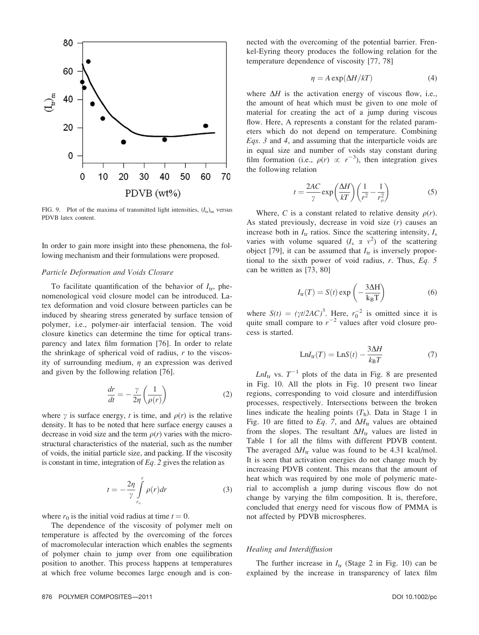

FIG. 9. Plot of the maxima of transmitted light intensities,  $(I_{tr})_m$  versus PDVB latex content.

In order to gain more insight into these phenomena, the following mechanism and their formulations were proposed.

#### Particle Deformation and Voids Closure

To facilitate quantification of the behavior of  $I_{tr}$ , phenomenological void closure model can be introduced. Latex deformation and void closure between particles can be induced by shearing stress generated by surface tension of polymer, i.e., polymer-air interfacial tension. The void closure kinetics can determine the time for optical transparency and latex film formation [76]. In order to relate the shrinkage of spherical void of radius, r to the viscosity of surrounding medium,  $\eta$  an expression was derived and given by the following relation [76].

$$
\frac{dr}{dt} = -\frac{\gamma}{2\eta} \left( \frac{1}{\rho(r)} \right) \tag{2}
$$

where  $\gamma$  is surface energy, t is time, and  $\rho(r)$  is the relative density. It has to be noted that here surface energy causes a decrease in void size and the term  $\rho(r)$  varies with the microstructural characteristics of the material, such as the number of voids, the initial particle size, and packing. If the viscosity is constant in time, integration of  $Eq. 2$  gives the relation as

$$
t = -\frac{2\eta}{\gamma} \int_{r_o}^{r} \rho(r) dr \tag{3}
$$

where  $r_0$  is the initial void radius at time  $t = 0$ .

The dependence of the viscosity of polymer melt on temperature is affected by the overcoming of the forces of macromolecular interaction which enables the segments of polymer chain to jump over from one equilibration position to another. This process happens at temperatures at which free volume becomes large enough and is connected with the overcoming of the potential barrier. Frenkel-Eyring theory produces the following relation for the temperature dependence of viscosity [77, 78]

$$
\eta = A \exp(\Delta H / kT) \tag{4}
$$

where  $\Delta H$  is the activation energy of viscous flow, i.e., the amount of heat which must be given to one mole of material for creating the act of a jump during viscous flow. Here, A represents a constant for the related parameters which do not depend on temperature. Combining Eqs. 3 and 4, and assuming that the interparticle voids are in equal size and number of voids stay constant during film formation (i.e.,  $\rho(r) \propto r^{-3}$ ), then integration gives the following relation the following relation

$$
t = \frac{2AC}{\gamma} \exp\left(\frac{\Delta H}{kT}\right) \left(\frac{1}{r^2} - \frac{1}{r_o^2}\right) \tag{5}
$$

Where, C is a constant related to relative density  $\rho(r)$ . As stated previously, decrease in void size  $(r)$  causes an increase both in  $I_{tr}$  ratios. Since the scattering intensity,  $I_{s}$ varies with volume squared  $(I_s \propto v^2)$  of the scattering<br>object [79] it can be assumed that *I* is inversely proporobject [79], it can be assumed that  $I_{tr}$  is inversely proportional to the sixth power of void radius, r. Thus, Eq. 5 can be written as [73, 80]

$$
I_{tr}(T) = S(t) \exp\left(-\frac{3\Delta H}{k_B T}\right) \tag{6}
$$

where  $S(t) = (\gamma t/2AC)^3$ . Here,  $r_0^2$  is omitted since it is quite small compare to  $r^{-2}$  values after void closure proquite small compare to  $r^{-2}$  values after void closure process is started.

$$
LnI_{tr}(T) = LnS(t) - \frac{3\Delta H}{k_B T}
$$
 (7)

 $LnI_{tr}$  vs.  $T^{-1}$  plots of the data in Fig. 8 are presented in Fig. 10. All the plots in Fig. 10 present two linear regions, corresponding to void closure and interdiffusion processes, respectively. Intersections between the broken lines indicate the healing points  $(T<sub>h</sub>)$ . Data in Stage 1 in Fig. 10 are fitted to Eq. 7, and  $\Delta H_{\text{tr}}$  values are obtained from the slopes. The resultant  $\Delta H_{tr}$  values are listed in Table 1 for all the films with different PDVB content. The averaged  $\Delta H_{\text{tr}}$  value was found to be 4.31 kcal/mol. It is seen that activation energies do not change much by increasing PDVB content. This means that the amount of heat which was required by one mole of polymeric material to accomplish a jump during viscous flow do not change by varying the film composition. It is, therefore, concluded that energy need for viscous flow of PMMA is not affected by PDVB microspheres.

# Healing and Interdiffusion

The further increase in  $I_{tr}$  (Stage 2 in Fig. 10) can be explained by the increase in transparency of latex film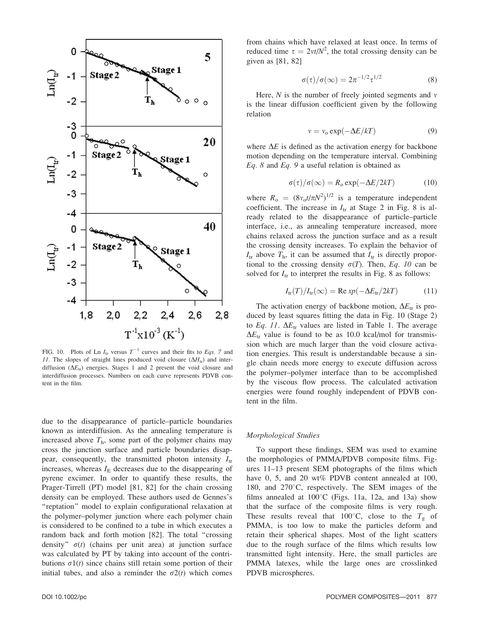

FIG. 10. Plots of Ln  $I_{tr}$  versus  $T^{-1}$  curves and their fits to Eqs. 7 and 11. The slopes of straight lines produced void closure  $(\Delta H_{tr})$  and interdiffusion ( $\Delta E_{tr}$ ) energies. Stages 1 and 2 present the void closure and interdiffusion processes. Numbers on each curve represents PDVB content in the film.

due to the disappearance of particle–particle boundaries known as interdiffusion. As the annealing temperature is increased above  $T<sub>h</sub>$ , some part of the polymer chains may cross the junction surface and particle boundaries disappear, consequently, the transmitted photon intensity  $I_{tr}$ increases, whereas  $I<sub>E</sub>$  decreases due to the disappearing of pyrene excimer. In order to quantify these results, the Prager-Tirrell (PT) model [81, 82] for the chain crossing density can be employed. These authors used de Gennes's ''reptation'' model to explain configurational relaxation at the polymer–polymer junction where each polymer chain is considered to be confined to a tube in which executes a random back and forth motion [82]. The total ''crossing density"  $\sigma(t)$  (chains per unit area) at junction surface was calculated by PT by taking into account of the contributions  $\sigma_1(t)$  since chains still retain some portion of their initial tubes, and also a reminder the  $\sigma$ 2(t) which comes

from chains which have relaxed at least once. In terms of reduced time  $\tau = 2vt/N^2$ , the total crossing density can be given as [81, 82] given as [81, 82]

$$
\sigma(\tau)/\sigma(\infty) = 2\pi^{-1/2}\tau^{1/2}
$$
 (8)

Here,  $N$  is the number of freely jointed segments and  $\nu$ is the linear diffusion coefficient given by the following relation

$$
v = v_0 \exp(-\Delta E/kT) \tag{9}
$$

where  $\Delta E$  is defined as the activation energy for backbone motion depending on the temperature interval. Combining  $Eq. 8$  and  $Eq. 9$  a useful relation is obtained as

$$
\sigma(\tau)/\sigma(\infty) = R_0 \exp(-\Delta E/2kT) \tag{10}
$$

where  $R_0 = (8v_0 t/\pi N^2)^{1/2}$  is a temperature independent<br>coefficient. The increase in *L* at Stage 2 in Fig. 8 is alcoefficient. The increase in  $I_{tr}$  at Stage 2 in Fig. 8 is already related to the disappearance of particle–particle interface, i.e., as annealing temperature increased, more chains relaxed across the junction surface and as a result the crossing density increases. To explain the behavior of  $I_{tr}$  above  $T_{h}$ , it can be assumed that  $I_{tr}$  is directly proportional to the crossing density  $\sigma(T)$ . Then, Eq. 10 can be solved for  $I_{tr}$  to interpret the results in Fig. 8 as follows:

$$
I_{\rm tr}(T)/I_{\rm tr}(\infty) = \text{Re}\,xp(-\Delta E_{\rm tr}/2kT) \tag{11}
$$

The activation energy of backbone motion,  $\Delta E_{tr}$  is produced by least squares fitting the data in Fig. 10 (Stage 2) to Eq. 11.  $\Delta E_{tr}$  values are listed in Table 1. The average  $\Delta E_{tr}$  value is found to be as 10.0 kcal/mol for transmission which are much larger than the void closure activation energies. This result is understandable because a single chain needs more energy to execute diffusion across the polymer–polymer interface than to be accomplished by the viscous flow process. The calculated activation energies were found roughly independent of PDVB content in the film.

#### Morphological Studies

To support these findings, SEM was used to examine the morphologies of PMMA/PDVB composite films. Figures 11–13 present SEM photographs of the films which have 0, 5, and 20 wt% PDVB content annealed at 100, 180, and  $270^{\circ}$ C, respectively. The SEM images of the films annealed at  $100^{\circ}$ C (Figs. 11a, 12a, and 13a) show that the surface of the composite films is very rough. These results reveal that 100°C, close to the  $T<sub>g</sub>$  of PMMA, is too low to make the particles deform and retain their spherical shapes. Most of the light scatters due to the rough surface of the films which results low transmitted light intensity. Here, the small particles are PMMA latexes, while the large ones are crosslinked PDVB microspheres.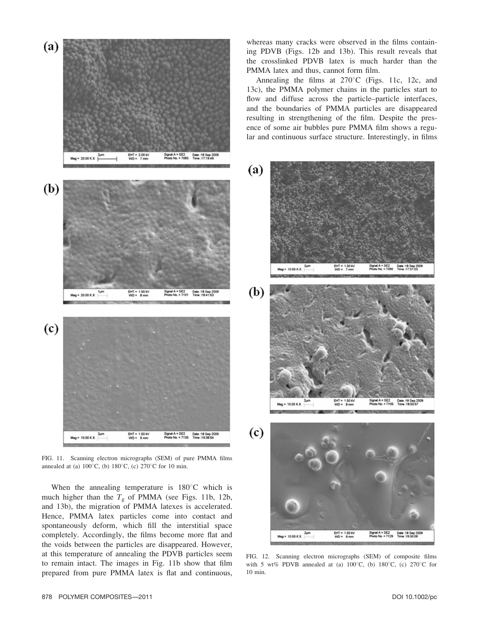

FIG. 11. Scanning electron micrographs (SEM) of pure PMMA films annealed at (a)  $100^{\circ}$ C, (b)  $180^{\circ}$ C, (c)  $270^{\circ}$ C for 10 min.

When the annealing temperature is  $180^{\circ}$ C which is much higher than the  $T<sub>g</sub>$  of PMMA (see Figs. 11b, 12b, and 13b), the migration of PMMA latexes is accelerated. Hence, PMMA latex particles come into contact and spontaneously deform, which fill the interstitial space completely. Accordingly, the films become more flat and the voids between the particles are disappeared. However, at this temperature of annealing the PDVB particles seem to remain intact. The images in Fig. 11b show that film prepared from pure PMMA latex is flat and continuous,

whereas many cracks were observed in the films containing PDVB (Figs. 12b and 13b). This result reveals that the crosslinked PDVB latex is much harder than the PMMA latex and thus, cannot form film.

Annealing the films at  $270^{\circ}$ C (Figs. 11c, 12c, and 13c), the PMMA polymer chains in the particles start to flow and diffuse across the particle–particle interfaces, and the boundaries of PMMA particles are disappeared resulting in strengthening of the film. Despite the presence of some air bubbles pure PMMA film shows a regular and continuous surface structure. Interestingly, in films



FIG. 12. Scanning electron micrographs (SEM) of composite films with 5 wt% PDVB annealed at (a)  $100^{\circ}$ C, (b)  $180^{\circ}$ C, (c)  $270^{\circ}$ C for 10 min.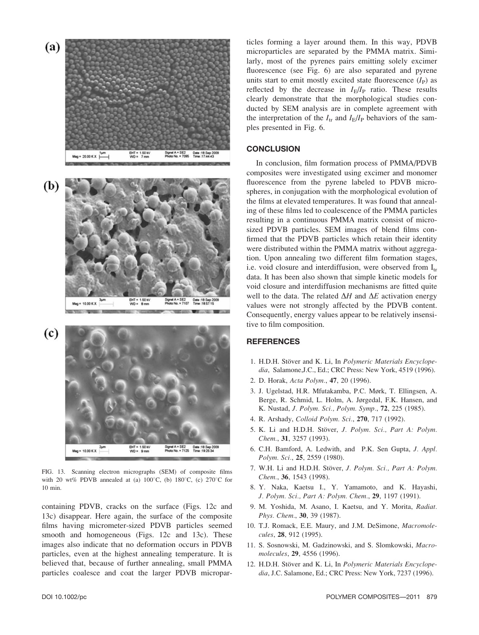Meg =  $20.00 KX$ (b) EHT = 1.50 KV<br>WD = 8 mm Date :18 Sep 21<br>Time :18:57:15 A = 5E2<br>No. = 7107  $M_{\text{HO}}$  = 10.00 K X  $(c)$ EHT∙<br>WO• 1.50 K 18 Sep 200<br>19 26 34 aez<br>× 7126 Mag = 10.00 K X

EHT = 1.50 Kv<br>WD = 7 mm

FIG. 13. Scanning electron micrographs (SEM) of composite films with 20 wt% PDVB annealed at (a)  $100^{\circ}$ C, (b)  $180^{\circ}$ C, (c)  $270^{\circ}$ C for 10 min.

containing PDVB, cracks on the surface (Figs. 12c and 13c) disappear. Here again, the surface of the composite films having micrometer-sized PDVB particles seemed smooth and homogeneous (Figs. 12c and 13c). These images also indicate that no deformation occurs in PDVB particles, even at the highest annealing temperature. It is believed that, because of further annealing, small PMMA particles coalesce and coat the larger PDVB micropar-

ticles forming a layer around them. In this way, PDVB microparticles are separated by the PMMA matrix. Similarly, most of the pyrenes pairs emitting solely excimer fluorescence (see Fig. 6) are also separated and pyrene units start to emit mostly excited state fluorescence  $(I_P)$  as reflected by the decrease in  $I_{E}/I_{P}$  ratio. These results clearly demonstrate that the morphological studies conducted by SEM analysis are in complete agreement with the interpretation of the  $I_{tr}$  and  $I_{E}/I_{P}$  behaviors of the samples presented in Fig. 6.

# **CONCLUSION**

In conclusion, film formation process of PMMA/PDVB composites were investigated using excimer and monomer fluorescence from the pyrene labeled to PDVB microspheres, in conjugation with the morphological evolution of the films at elevated temperatures. It was found that annealing of these films led to coalescence of the PMMA particles resulting in a continuous PMMA matrix consist of microsized PDVB particles. SEM images of blend films confirmed that the PDVB particles which retain their identity were distributed within the PMMA matrix without aggregation. Upon annealing two different film formation stages, i.e. void closure and interdiffusion, were observed from  $I_{tr}$ data. It has been also shown that simple kinetic models for void closure and interdiffusion mechanisms are fitted quite well to the data. The related  $\Delta H$  and  $\Delta E$  activation energy values were not strongly affected by the PDVB content. Consequently, energy values appear to be relatively insensitive to film composition.

# **REFERENCES**

- 1. H.D.H. Stöver and K. Li, In Polymeric Materials Encyclopedia, Salamone,J.C., Ed.; CRC Press: New York, 4519 (1996).
- 2. D. Horak, Acta Polym., 47, 20 (1996).
- 3. J. Ugelstad, H.R. Mfutakamba, P.C. Mørk, T. Ellingsen, A. Berge, R. Schmid, L. Holm, A. Jørgedal, F.K. Hansen, and K. Nustad, J. Polym. Sci., Polym. Symp., 72, 225 (1985).
- 4. R. Arshady, Colloid Polym. Sci., 270, 717 (1992).
- 5. K. Li and H.D.H. Stöver, J. Polym. Sci., Part A: Polym. Chem., 31, 3257 (1993).
- 6. C.H. Bamford, A. Ledwith, and P.K. Sen Gupta, J. Appl. Polym. Sci., 25, 2559 (1980).
- 7. W.H. Li and H.D.H. Stöver, J. Polym. Sci., Part A: Polym. Chem., 36, 1543 (1998).
- 8. Y. Naka, Kaetsu I., Y. Yamamoto, and K. Hayashi, J. Polym. Sci., Part A: Polym. Chem., 29, 1197 (1991).
- 9. M. Yoshida, M. Asano, I. Kaetsu, and Y. Morita, Radiat. Phys. Chem., 30, 39 (1987).
- 10. T.J. Romack, E.E. Maury, and J.M. DeSimone, Macromolecules, 28, 912 (1995).
- 11. S. Sosnowski, M. Gadzinowski, and S. Slomkowski, Macromolecules, 29, 4556 (1996).
- 12. H.D.H. Stöver and K. Li, In Polymeric Materials Encyclopedia, J.C. Salamone, Ed.; CRC Press: New York, 7237 (1996).

(a)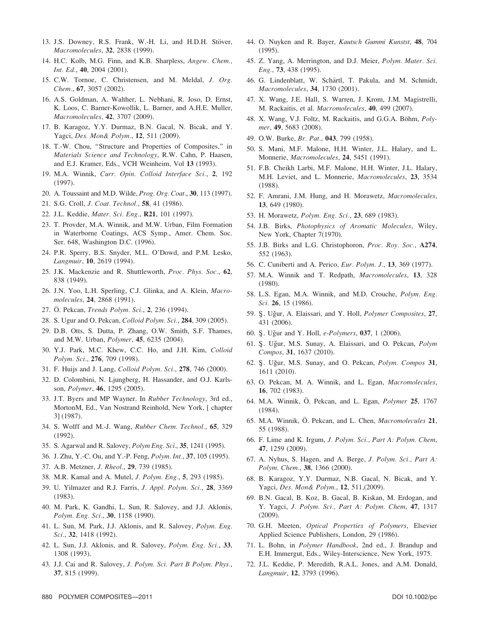- 13. J.S. Downey, R.S. Frank, W.-H. Li, and H.D.H. Stöver, Macromolecules, 32, 2838 (1999).
- 14. H.C. Kolb, M.G. Finn, and K.B. Sharpless, Angew. Chem., Int. Ed., 40, 2004 (2001).
- 15. C.W. Tornoe, C. Christensen, and M. Meldal, J. Org. Chem., 67, 3057 (2002).
- 16. A.S. Goldman, A. Walther, L. Nebhani, R. Joso, D. Ernst, K. Loos, C. Barner-Kowollik, L. Barner, and A.H.E. Muller, Macromolecules, 42, 3707 (2009).
- 17. B. Karagoz, Y.Y. Durmaz, B.N. Gacal, N. Bicak, and Y. Yagci, Des. Mon& Polym., 12, 511 (2009).
- 18. T.-W. Chou, ''Structure and Properties of Composites,'' in Materials Science and Technology, R.W. Cahn, P. Haasen, and E.J. Kramer, Eds., VCH Weinheim, Vol 13 (1993).
- 19. M.A. Winnik, Curr. Opin. Colloid Interface Sci., 2, 192 (1997).
- 20. A. Toussaint and M.D. Wilde, Prog. Org. Coat., 30, 113 (1997).
- 21. S.G. Croll, J. Coat. Technol., 58, 41 (1986).
- 22. J.L. Keddie, Mater. Sci. Eng., R21, 101 (1997).
- 23. T. Provder, M.A. Winnik, and M.W. Urban, Film Formation in Waterborne Coatings, ACS Symp., Amer. Chem. Soc. Ser. 648, Washington D.C. (1996).
- 24. P.R. Sperry, B.S. Snyder, M.L. O'Dowd, and P.M. Lesko, Langmuir, 10, 2619 (1994).
- 25. J.K. Mackenzie and R. Shuttleworth, Proc. Phys. Soc., 62, 838 (1949).
- 26. J.N. Yoo, L.H. Sperling, C.J. Glinka, and A. Klein, Macromolecules, 24, 2868 (1991).
- 27. Ö. Pekcan, Trends Polym. Sci., 2, 236 (1994).
- 28. S. Ugur and O. Pekcan, Colloid Polym. Sci., 284, 309 (2005).
- 29. D.B. Otts, S. Dutta, P. Zhang, O.W. Smith, S.F. Thames, and M.W. Urban, Polymer, 45, 6235 (2004).
- 30. Y.J. Park, M.C. Khew, C.C. Ho, and J.H. Kim, Colloid Polym. Sci., 276, 709 (1998).
- 31. F. Huijs and J. Lang, Colloid Polym. Sci., 278, 746 (2000).
- 32. D. Colombini, N. Ljungberg, H. Hassander, and O.J. Karlsson, Polymer, 46, 1295 (2005).
- 33. J.T. Byers and MP Wayner. In Rubber Technology, 3rd ed., MortonM, Ed., Van Nostrand Reinhold, New York, [ chapter 3] (1987).
- 34. S. Wolff and M.-J. Wang, Rubber Chem. Technol., 65, 329 (1992).
- 35. S. Agarwal and R. Salovey, Polym Eng. Sci., 35, 1241 (1995).
- 36. J. Zhu, Y.-C. Ou, and Y.-P. Feng, Polym. Int., 37, 105 (1995).
- 37. A.B. Metzner, J. Rheol., 29, 739 (1985).
- 38. M.R. Kamal and A. Mutel, J. Polym. Eng., 5, 293 (1985).
- 39. U. Yilmazer and R.J. Farris, J. Appl. Polym. Sci., 28, 3369 (1983).
- 40. M. Park, K. Gandhi, L. Sun, R. Salovey, and J.J. Aklonis, Polym. Eng. Sci., 30, 1158 (1990).
- 41. L. Sun, M. Park, J.J. Aklonis, and R. Salovey, Polym. Eng. Sci., 32, 1418 (1992).
- 42. L. Sun, J.J. Aklonis, and R. Salovey, *Polym. Eng. Sci.*, 33, 1308 (1993).
- 43. J.J. Cai and R. Salovey, J. Polym. Sci. Part B Polym. Phys., 37, 815 (1999).
- 44. O. Nuyken and R. Bayer, Kautsch Gummi Kunstst, 48, 704 (1995).
- 45. Z. Yang, A. Merrington, and D.J. Meier, Polym. Mater. Sci. Eng., 73, 438 (1995).
- 46. G. Lindenblatt, W. Schärtl, T. Pakula, and M. Schmidt, Macromolecules, 34, 1730 (2001).
- 47. X. Wang, J.E. Hall, S. Warren, J. Krom, J.M. Magistrelli, M. Rackaitis, et al. Macromolecules, 40, 499 (2007).
- 48. X. Wang, V.J. Foltz, M. Rackaitis, and G.G.A. Böhm, Polymer, 49, 5683 (2008).
- 49. O.W. Burke, Br. Pat., 043, 799 (1958).
- 50. S. Mani, M.F. Malone, H.H. Winter, J.L. Halary, and L. Monnerie, Macromolecules, 24, 5451 (1991).
- 51. F.B. Cheikh Larbi, M.F. Malone, H.H. Winter, J.L. Halary, M.H. Leviet, and L. Monnerie, Macromolecules, 23, 3534 (1988).
- 52. F. Amrani, J.M. Hung, and H. Morawetz, Macromolecules, 13, 649 (1980).
- 53. H. Morawetz, Polym. Eng. Sci., 23, 689 (1983).
- 54. J.B. Birks, Photophysics of Aromatic Molecules, Wiley, New York, Chapter 7(1970).
- 55. J.B. Birks and L.G. Christophoron, Proc. Roy. Soc., A274, 552 (1963).
- 56. C. Cuniberti and A. Perico, Eur. Polym. J., 13, 369 (1977).
- 57. M.A. Winnik and T. Redpath, Macromolecules, 13, 328 (1980).
- 58. L.S. Egan, M.A. Winnik, and M.D. Crouche, Polym. Eng. Sci. **26**, 15 (1986).
- 59. Ş. Uğur, A. Elaissari, and Y. Holl, Polymer Composites, 27, 431 (2006).
- 60. Ş. Uğur and Y. Holl, *e-Polymers*, 037, 1 (2006).
- 61. S. Uğur, M.S. Sunay, A. Elaissari, and O. Pekcan, Polym Compos, 31, 1637 (2010).
- 62. Ş. Uğur, M.S. Sunay, and O. Pekcan, Polym. Compos 31, 1611 (2010).
- 63. O. Pekcan, M. A. Winnik, and L. Egan, Macromolecules, 16, 702 (1983).
- 64. M.A. Winnik, Ö. Pekcan, and L. Egan, Polymer 25, 1767 (1984).
- 65. M.A. Winnik, O. Pekcan, and L. Chen, Macromolecules 21, 55 (1988).
- 66. F. Lime and K. Irgum, J. Polym. Sci., Part A: Polym. Chem, 47, 1259 (2009).
- 67. A. Nyhus, S. Hagen, and A. Berge, J. Polym. Sci., Part A: Polym. Chem., 38, 1366 (2000).
- 68. B. Karagoz, Y.Y. Durmaz, N.B. Gacal, N. Bicak, and Y. Yagci, Des. Mon& Polym., 12, 511,(2009).
- 69. B.N. Gacal, B. Koz, B. Gacal, B. Kiskan, M. Erdogan, and Y. Yagci, J. Polym. Sci., Part A: Polym. Chem, 47, 1317 (2009).
- 70. G.H. Meeten, Optical Properties of Polymers, Elsevier Applied Science Publishers, London, 29 (1986).
- 71. L. Bohn, in Polymer Handbook, 2nd ed., J. Brandup and E.H. Immergut, Eds., Wiley-Interscience, New York, 1975.
- 72. J.L. Keddie, P. Meredith, R.A.L. Jones, and A.M. Donald, Langmuir, 12, 3793 (1996).